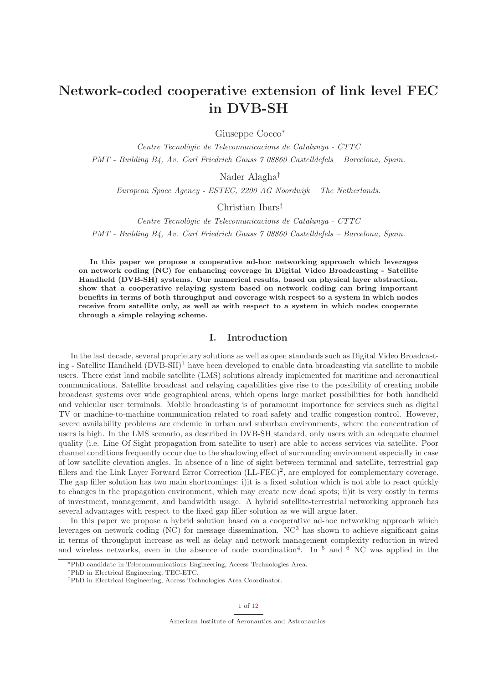# Network-coded cooperative extension of link level FEC in DVB-SH

Giuseppe Cocco<sup>∗</sup>

Centre Tecnol`ogic de Telecomunicacions de Catalunya - CTTC PMT - Building B4, Av. Carl Friedrich Gauss 7 08860 Castelldefels – Barcelona, Spain.

Nader Alagha†

European Space Agency - ESTEC, 2200 AG Noordwijk – The Netherlands.

Christian Ibars‡

Centre Tecnol`ogic de Telecomunicacions de Catalunya - CTTC PMT - Building B4, Av. Carl Friedrich Gauss 7 08860 Castelldefels – Barcelona, Spain.

In this paper we propose a cooperative ad-hoc networking approach which leverages on network coding (NC) for enhancing coverage in Digital Video Broadcasting - Satellite Handheld (DVB-SH) systems. Our numerical results, based on physical layer abstraction, show that a cooperative relaying system based on network coding can bring important benefits in terms of both throughput and coverage with respect to a system in which nodes receive from satellite only, as well as with respect to a system in which nodes cooperate through a simple relaying scheme.

## I. Introduction

In the last decade, several proprietary solutions as well as open standards such as Digital Video Broadcasting - Satellite Handheld (DVB-SH)<sup>1</sup> have been developed to enable data broadcasting via satellite to mobile users. There exist land mobile satellite (LMS) solutions already implemented for maritime and aeronautical communications. Satellite broadcast and relaying capabilities give rise to the possibility of creating mobile broadcast systems over wide geographical areas, which opens large market possibilities for both handheld and vehicular user terminals. Mobile broadcasting is of paramount importance for services such as digital TV or machine-to-machine communication related to road safety and traffic congestion control. However, severe availability problems are endemic in urban and suburban environments, where the concentration of users is high. In the LMS scenario, as described in DVB-SH standard, only users with an adequate channel quality (i.e. Line Of Sight propagation from satellite to user) are able to access services via satellite. Poor channel conditions frequently occur due to the shadowing effect of surrounding environment especially in case of low satellite elevation angles. In absence of a line of sight between terminal and satellite, terrestrial gap fillers and the Link Layer Forward Error Correction  $(LL-FEC)^2$ , are employed for complementary coverage. The gap filler solution has two main shortcomings: i)it is a fixed solution which is not able to react quickly to changes in the propagation environment, which may create new dead spots; ii)it is very costly in terms of investment, management, and bandwidth usage. A hybrid satellite-terrestrial networking approach has several advantages with respect to the fixed gap filler solution as we will argue later.

In this paper we propose a hybrid solution based on a cooperative ad-hoc networking approach which leverages on network coding  $(NC)$  for message dissemination.  $NC<sup>3</sup>$  has shown to achieve significant gains in terms of throughput increase as well as delay and network management complexity reduction in wired and wireless networks, even in the absence of node coordination<sup>4</sup>. In  $5$  and  $6$  NC was applied in the

1 of 12

American Institute of Aeronautics and Astronautics

<sup>∗</sup>PhD candidate in Telecommunications Engineering, Access Technologies Area.

<sup>†</sup>PhD in Electrical Engineering, TEC-ETC.

<sup>‡</sup>PhD in Electrical Engineering, Access Technologies Area Coordinator.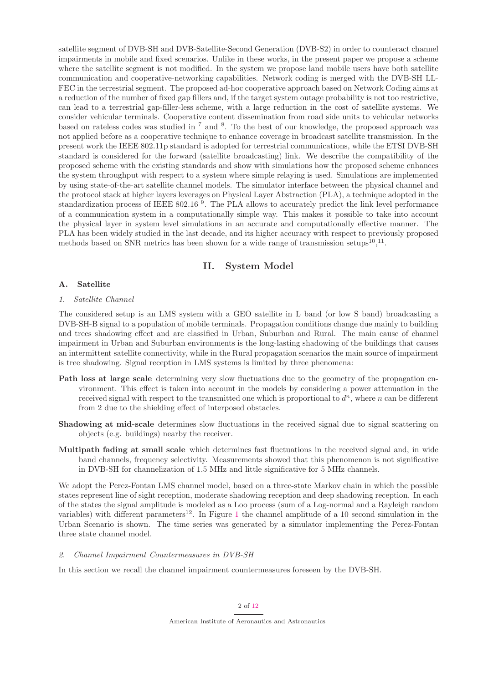satellite segment of DVB-SH and DVB-Satellite-Second Generation (DVB-S2) in order to counteract channel impairments in mobile and fixed scenarios. Unlike in these works, in the present paper we propose a scheme where the satellite segment is not modified. In the system we propose land mobile users have both satellite communication and cooperative-networking capabilities. Network coding is merged with the DVB-SH LL-FEC in the terrestrial segment. The proposed ad-hoc cooperative approach based on Network Coding aims at a reduction of the number of fixed gap fillers and, if the target system outage probability is not too restrictive, can lead to a terrestrial gap-filler-less scheme, with a large reduction in the cost of satellite systems. We consider vehicular terminals. Cooperative content dissemination from road side units to vehicular networks based on rateless codes was studied in <sup>7</sup> and <sup>8</sup>. To the best of our knowledge, the proposed approach was not applied before as a cooperative technique to enhance coverage in broadcast satellite transmission. In the present work the IEEE 802.11p standard is adopted for terrestrial communications, while the ETSI DVB-SH standard is considered for the forward (satellite broadcasting) link. We describe the compatibility of the proposed scheme with the existing standards and show with simulations how the proposed scheme enhances the system throughput with respect to a system where simple relaying is used. Simulations are implemented by using state-of-the-art satellite channel models. The simulator interface between the physical channel and the protocol stack at higher layers leverages on Physical Layer Abstraction (PLA), a technique adopted in the standardization process of IEEE 802.16<sup>9</sup>. The PLA allows to accurately predict the link level performance of a communication system in a computationally simple way. This makes it possible to take into account the physical layer in system level simulations in an accurate and computationally effective manner. The PLA has been widely studied in the last decade, and its higher accuracy with respect to previously proposed methods based on SNR metrics has been shown for a wide range of transmission setups<sup>10</sup>,<sup>11</sup>.

## II. System Model

## A. Satellite

#### 1. Satellite Channel

The considered setup is an LMS system with a GEO satellite in L band (or low S band) broadcasting a DVB-SH-B signal to a population of mobile terminals. Propagation conditions change due mainly to building and trees shadowing effect and are classified in Urban, Suburban and Rural. The main cause of channel impairment in Urban and Suburban environments is the long-lasting shadowing of the buildings that causes an intermittent satellite connectivity, while in the Rural propagation scenarios the main source of impairment is tree shadowing. Signal reception in LMS systems is limited by three phenomena:

- Path loss at large scale determining very slow fluctuations due to the geometry of the propagation environment. This effect is taken into account in the models by considering a power attenuation in the received signal with respect to the transmitted one which is proportional to  $d^n$ , where n can be different from 2 due to the shielding effect of interposed obstacles.
- Shadowing at mid-scale determines slow fluctuations in the received signal due to signal scattering on objects (e.g. buildings) nearby the receiver.
- Multipath fading at small scale which determines fast fluctuations in the received signal and, in wide band channels, frequency selectivity. Measurements showed that this phenomenon is not significative in DVB-SH for channelization of 1.5 MHz and little significative for 5 MHz channels.

We adopt the Perez-Fontan LMS channel model, based on a three-state Markov chain in which the possible states represent line of sight reception, moderate shadowing reception and deep shadowing reception. In each of the states the signal amplitude is modeled as a Loo process (sum of a Log-normal and a Rayleigh random variables) with different parameters<sup>12</sup>. In Figure 1 the channel amplitude of a 10 second simulation in the Urban Scenario is shown. The time series was generated by a simulator implementing the Perez-Fontan three state channel model.

## 2. Channel Impairment Countermeasures in DVB-SH

In this section we recall the channel impairment countermeasures foreseen by the DVB-SH.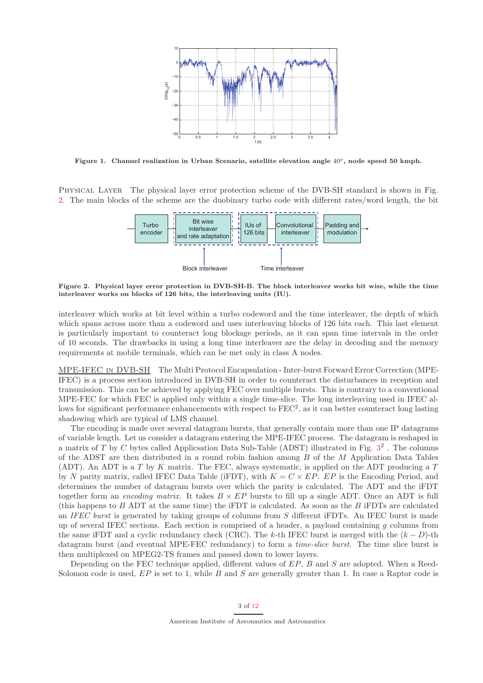

Figure 1. Channel realization in Urban Scenario, satellite elevation angle  $40^o$ , node speed 50 kmph.

Physical Layer The physical layer error protection scheme of the DVB-SH standard is shown in Fig. 2. The main blocks of the scheme are the duobinary turbo code with different rates/word length, the bit



Figure 2. Physical layer error protection in DVB-SH-B. The block interleaver works bit wise, while the time interleaver works on blocks of 126 bits, the interleaving units (IU).

interleaver which works at bit level within a turbo codeword and the time interleaver, the depth of which which spans across more than a codeword and uses interleaving blocks of 126 bits each. This last element is particularly important to counteract long blockage periods, as it can span time intervals in the order of 10 seconds. The drawbacks in using a long time interleaver are the delay in decoding and the memory requirements at mobile terminals, which can be met only in class A nodes.

MPE-IFEC in DVB-SH The Multi Protocol Encapsulation - Inter-burst Forward Error Correction (MPE-IFEC) is a process section introduced in DVB-SH in order to counteract the disturbances in reception and transmission. This can be achieved by applying FEC over multiple bursts. This is contrary to a conventional MPE-FEC for which FEC is applied only within a single time-slice. The long interleaving used in IFEC allows for significant performance enhancements with respect to  $FEC^2$ , as it can better counteract long lasting shadowing which are typical of LMS channel.

The encoding is made over several datagram bursts, that generally contain more than one IP datagrams of variable length. Let us consider a datagram entering the MPE-IFEC process. The datagram is reshaped in a matrix of T by C bytes called Applicsation Data Sub-Table (ADST) illustrated in Fig.  $3^2$ . The columns of the ADST are then distributed in a round robin fashion among  $B$  of the  $M$  Application Data Tables (ADT). An ADT is a T by K matrix. The FEC, always systematic, is applied on the ADT producing a T by N parity matrix, called IFEC Data Table (iFDT), with  $K = C \times EP$ . EP is the Encoding Period, and determines the number of datagram bursts over which the parity is calculated. The ADT and the iFDT together form an encoding matrix. It takes  $B \times EP$  bursts to fill up a single ADT. Once an ADT is full (this happens to  $B$  ADT at the same time) the iFDT is calculated. As soon as the  $B$  iFDTs are calculated an IFEC burst is generated by taking groups of columns from S different iFDTs. An IFEC burst is made up of several IFEC sections. Each section is comprised of a header, a payload containing g columns from the same iFDT and a cyclic redundancy check (CRC). The k-th IFEC burst is merged with the  $(k - D)$ -th datagram burst (and eventual MPE-FEC redundancy) to form a time-slice burst. The time slice burst is then multiplexed on MPEG2-TS frames and passed down to lower layers.

Depending on the FEC technique applied, different values of EP, B and S are adopted. When a Reed-Solomon code is used,  $EP$  is set to 1, while B and S are generally greater than 1. In case a Raptor code is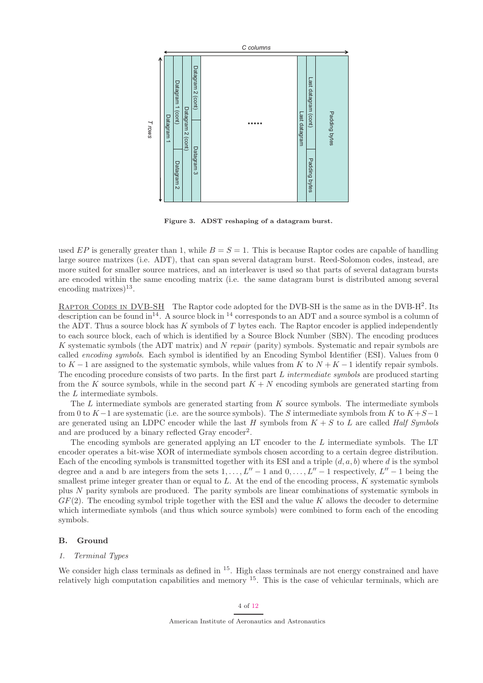

Figure 3. ADST reshaping of a datagram burst.

used EP is generally greater than 1, while  $B = S = 1$ . This is because Raptor codes are capable of handling large source matrixes (i.e. ADT), that can span several datagram burst. Reed-Solomon codes, instead, are more suited for smaller source matrices, and an interleaver is used so that parts of several datagram bursts are encoded within the same encoding matrix (i.e. the same datagram burst is distributed among several  $\text{encoding matrices}$ <sup>13</sup>.

RAPTOR CODES IN DVB-SH The Raptor code adopted for the DVB-SH is the same as in the DVB-H<sup>2</sup>. Its description can be found in<sup>14</sup>. A source block in <sup>14</sup> corresponds to an ADT and a source symbol is a column of the ADT. Thus a source block has K symbols of T bytes each. The Raptor encoder is applied independently to each source block, each of which is identified by a Source Block Number (SBN). The encoding produces K systematic symbols (the ADT matrix) and N repair (parity) symbols. Systematic and repair symbols are called encoding symbols. Each symbol is identified by an Encoding Symbol Identifier (ESI). Values from 0 to  $K-1$  are assigned to the systematic symbols, while values from K to  $N+K-1$  identify repair symbols. The encoding procedure consists of two parts. In the first part L intermediate symbols are produced starting from the K source symbols, while in the second part  $K + N$  encoding symbols are generated starting from the L intermediate symbols.

The  $L$  intermediate symbols are generated starting from  $K$  source symbols. The intermediate symbols from 0 to K−1 are systematic (i.e. are the source symbols). The S intermediate symbols from K to  $K+S-1$ are generated using an LDPC encoder while the last H symbols from  $K + S$  to L are called Half Symbols and are produced by a binary reflected Gray encoder<sup>2</sup>.

The encoding symbols are generated applying an LT encoder to the L intermediate symbols. The LT encoder operates a bit-wise XOR of intermediate symbols chosen according to a certain degree distribution. Each of the encoding symbols is transmitted together with its ESI and a triple  $(d, a, b)$  where d is the symbol degree and a and b are integers from the sets  $1, \ldots, L'' - 1$  and  $0, \ldots, L'' - 1$  respectively,  $L'' - 1$  being the smallest prime integer greater than or equal to  $L$ . At the end of the encoding process,  $K$  systematic symbols plus N parity symbols are produced. The parity symbols are linear combinations of systematic symbols in  $GF(2)$ . The encoding symbol triple together with the ESI and the value K allows the decoder to determine which intermediate symbols (and thus which source symbols) were combined to form each of the encoding symbols.

#### B. Ground

## 1. Terminal Types

We consider high class terminals as defined in <sup>15</sup>. High class terminals are not energy constrained and have relatively high computation capabilities and memory <sup>15</sup>. This is the case of vehicular terminals, which are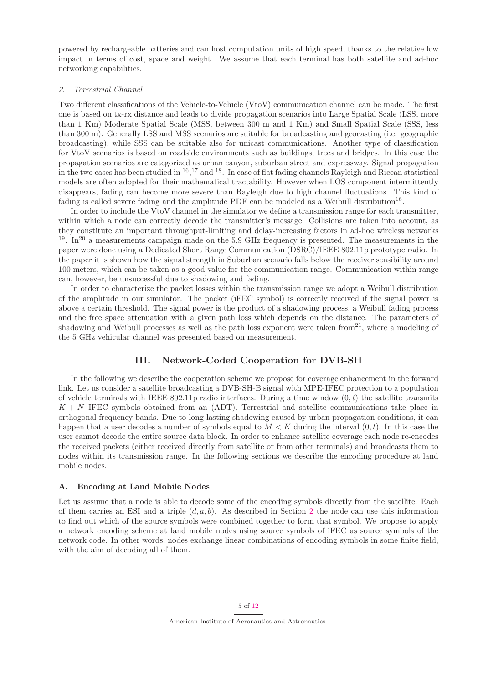powered by rechargeable batteries and can host computation units of high speed, thanks to the relative low impact in terms of cost, space and weight. We assume that each terminal has both satellite and ad-hoc networking capabilities.

#### 2. Terrestrial Channel

Two different classifications of the Vehicle-to-Vehicle (VtoV) communication channel can be made. The first one is based on tx-rx distance and leads to divide propagation scenarios into Large Spatial Scale (LSS, more than 1 Km) Moderate Spatial Scale (MSS, between 300 m and 1 Km) and Small Spatial Scale (SSS, less than 300 m). Generally LSS and MSS scenarios are suitable for broadcasting and geocasting (i.e. geographic broadcasting), while SSS can be suitable also for unicast communications. Another type of classification for VtoV scenarios is based on roadside environments such as buildings, trees and bridges. In this case the propagation scenarios are categorized as urban canyon, suburban street and expressway. Signal propagation in the two cases has been studied in  $^{16}$ ,  $^{17}$  and  $^{18}$ . In case of flat fading channels Rayleigh and Ricean statistical models are often adopted for their mathematical tractability. However when LOS component intermittently disappears, fading can become more severe than Rayleigh due to high channel fluctuations. This kind of fading is called severe fading and the amplitude PDF can be modeled as a Weibull distribution<sup>16</sup>.

In order to include the VtoV channel in the simulator we define a transmission range for each transmitter, within which a node can correctly decode the transmitter's message. Collisions are taken into account, as they constitute an important throughput-limiting and delay-increasing factors in ad-hoc wireless networks  $19. \text{ In}^{20}$  a measurements campaign made on the 5.9 GHz frequency is presented. The measurements in the paper were done using a Dedicated Short Range Communication (DSRC)/IEEE 802.11p prototype radio. In the paper it is shown how the signal strength in Suburban scenario falls below the receiver sensibility around 100 meters, which can be taken as a good value for the communication range. Communication within range can, however, be unsuccessful due to shadowing and fading.

In order to characterize the packet losses within the transmission range we adopt a Weibull distribution of the amplitude in our simulator. The packet (iFEC symbol) is correctly received if the signal power is above a certain threshold. The signal power is the product of a shadowing process, a Weibull fading process and the free space attenuation with a given path loss which depends on the distance. The parameters of shadowing and Weibull processes as well as the path loss exponent were taken from  $2^1$ , where a modeling of the 5 GHz vehicular channel was presented based on measurement.

## III. Network-Coded Cooperation for DVB-SH

In the following we describe the cooperation scheme we propose for coverage enhancement in the forward link. Let us consider a satellite broadcasting a DVB-SH-B signal with MPE-IFEC protection to a population of vehicle terminals with IEEE 802.11p radio interfaces. During a time window  $(0, t)$  the satellite transmits  $K + N$  IFEC symbols obtained from an (ADT). Terrestrial and satellite communications take place in orthogonal frequency bands. Due to long-lasting shadowing caused by urban propagation conditions, it can happen that a user decodes a number of symbols equal to  $M < K$  during the interval  $(0, t)$ . In this case the user cannot decode the entire source data block. In order to enhance satellite coverage each node re-encodes the received packets (either received directly from satellite or from other terminals) and broadcasts them to nodes within its transmission range. In the following sections we describe the encoding procedure at land mobile nodes.

#### A. Encoding at Land Mobile Nodes

Let us assume that a node is able to decode some of the encoding symbols directly from the satellite. Each of them carries an ESI and a triple  $(d, a, b)$ . As described in Section 2 the node can use this information to find out which of the source symbols were combined together to form that symbol. We propose to apply a network encoding scheme at land mobile nodes using source symbols of iFEC as source symbols of the network code. In other words, nodes exchange linear combinations of encoding symbols in some finite field, with the aim of decoding all of them.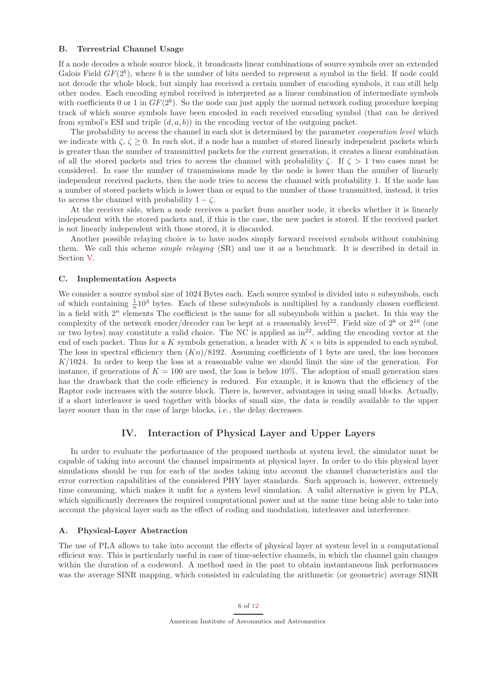#### B. Terrestrial Channel Usage

If a node decodes a whole source block, it broadcasts linear combinations of source symbols over an extended Galois Field  $GF(2<sup>b</sup>)$ , where b is the number of bits needed to represent a symbol in the field. If node could not decode the whole block, but simply has received a certain number of encoding symbols, it can still help other nodes. Each encoding symbol received is interpreted as a linear combination of intermediate symbols with coefficients 0 or 1 in  $GF(2<sup>b</sup>)$ . So the node can just apply the normal network coding procedure keeping track of which source symbols have been encoded in each received encoding symbol (that can be derived from symbol's ESI and triple  $(d, a, b)$  in the encoding vector of the outgoing packet.

The probability to access the channel in each slot is determined by the parameter *cooperation level* which we indicate with  $\zeta$ ,  $\zeta \geq 0$ . In each slot, if a node has a number of stored linearly independent packets which is greater than the number of transmitted packets for the current generation, it creates a linear combination of all the stored packets and tries to access the channel with probability  $\zeta$ . If  $\zeta > 1$  two cases must be considered. In case the number of transmissions made by the node is lower than the number of linearly independent received packets, then the node tries to access the channel with probability 1. If the node has a number of stored packets which is lower than or equal to the number of those transmitted, instead, it tries to access the channel with probability  $1 - \zeta$ .

At the receiver side, when a node receives a packet from another node, it checks whether it is linearly independent with the stored packets and, if this is the case, the new packet is stored. If the received packet is not linearly independent with those stored, it is discarded.

Another possible relaying choice is to have nodes simply forward received symbols without combining them. We call this scheme simple relaying (SR) and use it as a benchmark. It is described in detail in Section V.

#### C. Implementation Aspects

We consider a source symbol size of  $1024$  Bytes each. Each source symbol is divided into n subsymbols, each of which containing  $\frac{1}{n}$  10<sup>3</sup> bytes. Each of these subsymbols is multiplied by a randomly chosen coefficient in a field with  $2<sup>n</sup>$  elements The coefficient is the same for all subsymbols within a packet. In this way the complexity of the network enoder/decoder can be kept at a reasonably level<sup>22</sup>. Field size of  $2^8$  or  $2^{16}$  (one or two bytes) may constitute a valid choice. The NC is applied as  $in^{22}$ , adding the encoding vector at the end of each packet. Thus for a K symbols generation, a header with  $K \times n$  bits is appended to each symbol. The loss in spectral efficiency then  $(Kn)/8192$ . Assuming coefficients of 1 byte are used, the loss becomes  $K/1024$ . In order to keep the loss at a reasonable value we should limit the size of the generation. For instance, if generations of  $K = 100$  are used, the loss is below 10%. The adoption of small generation sizes has the drawback that the code efficiency is reduced. For example, it is known that the efficiency of the Raptor code increases with the source block. There is, however, advantages in using small blocks. Actually, if a short interleaver is used together with blocks of small size, the data is readily available to the upper layer sooner than in the case of large blocks, i.e., the delay decreases.

## IV. Interaction of Physical Layer and Upper Layers

In order to evaluate the performance of the proposed methods at system level, the simulator must be capable of taking into account the channel impairments at physical layer. In order to do this physical layer simulations should be run for each of the nodes taking into account the channel characteristics and the error correction capabilities of the considered PHY layer standards. Such approach is, however, extremely time consuming, which makes it unfit for a system level simulation. A valid alternative is given by PLA, which significantly decreases the required computational power and at the same time being able to take into account the physical layer such as the effect of coding and modulation, interleaver and interference.

### A. Physical-Layer Abstraction

The use of PLA allows to take into account the effects of physical layer at system level in a computational efficient way. This is particularly useful in case of time-selective channels, in which the channel gain changes within the duration of a codeword. A method used in the past to obtain instantaneous link performances was the average SINR mapping, which consisted in calculating the arithmetic (or geometric) average SINR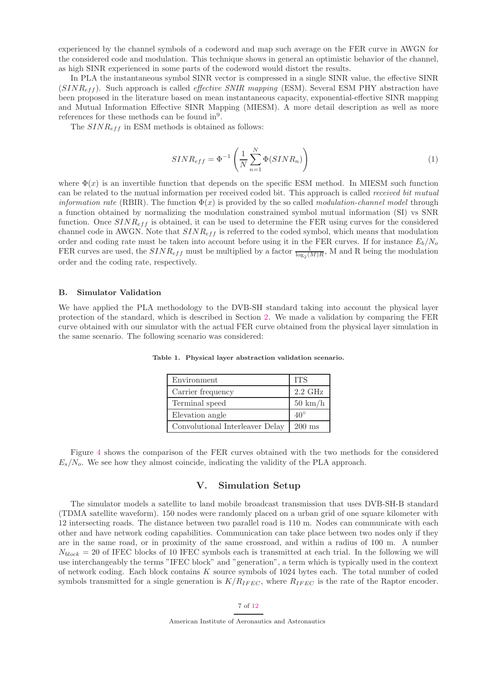experienced by the channel symbols of a codeword and map such average on the FER curve in AWGN for the considered code and modulation. This technique shows in general an optimistic behavior of the channel, as high SINR experienced in some parts of the codeword would distort the results.

In PLA the instantaneous symbol SINR vector is compressed in a single SINR value, the effective SINR  $(SINR_{eff})$ . Such approach is called *effective SNIR mapping* (ESM). Several ESM PHY abstraction have been proposed in the literature based on mean instantaneous capacity, exponential-effective SINR mapping and Mutual Information Effective SINR Mapping (MIESM). A more detail description as well as more references for these methods can be found in<sup>9</sup>.

The  $SINR_{eff}$  in ESM methods is obtained as follows:

$$
SINR_{eff} = \Phi^{-1}\left(\frac{1}{N}\sum_{n=1}^{N}\Phi(SINR_n)\right)
$$
\n(1)

where  $\Phi(x)$  is an invertible function that depends on the specific ESM method. In MIESM such function can be related to the mutual information per received coded bit. This approach is called received bit mutual *information rate* (RBIR). The function  $\Phi(x)$  is provided by the so called *modulation-channel model* through a function obtained by normalizing the modulation constrained symbol mutual information (SI) vs SNR function. Once  $SINR_{eff}$  is obtained, it can be used to determine the FER using curves for the considered channel code in AWGN. Note that  $SINR_{eff}$  is referred to the coded symbol, which means that modulation order and coding rate must be taken into account before using it in the FER curves. If for instance  $E_b/N_o$ FER curves are used, the  $SINR_{eff}$  must be multiplied by a factor  $\frac{1}{\log_2(M)R}$ , M and R being the modulation order and the coding rate, respectively.

#### B. Simulator Validation

We have applied the PLA methodology to the DVB-SH standard taking into account the physical layer protection of the standard, which is described in Section 2. We made a validation by comparing the FER curve obtained with our simulator with the actual FER curve obtained from the physical layer simulation in the same scenario. The following scenario was considered:

| Environment                     | <b>ITS</b>        |
|---------------------------------|-------------------|
| Carrier frequency               | $2.2\text{ GHz}$  |
| Terminal speed                  | $50 \text{ km/h}$ |
| Elevation angle                 | $40^{\circ}$      |
| Convolutional Interleaver Delay | $200 \text{ ms}$  |

Table 1. Physical layer abstraction validation scenario.

Figure 4 shows the comparison of the FER curves obtained with the two methods for the considered  $E_s/N_o$ . We see how they almost coincide, indicating the validity of the PLA approach.

## V. Simulation Setup

The simulator models a satellite to land mobile broadcast transmission that uses DVB-SH-B standard (TDMA satellite waveform). 150 nodes were randomly placed on a urban grid of one square kilometer with 12 intersecting roads. The distance between two parallel road is 110 m. Nodes can communicate with each other and have network coding capabilities. Communication can take place between two nodes only if they are in the same road, or in proximity of the same crossroad, and within a radius of 100 m. A number  $N_{block} = 20$  of IFEC blocks of 10 IFEC symbols each is transmitted at each trial. In the following we will use interchangeably the terms "IFEC block" and "generation", a term which is typically used in the context of network coding. Each block contains  $K$  source symbols of 1024 bytes each. The total number of coded symbols transmitted for a single generation is  $K/R_{IFEC}$ , where  $R_{IFEC}$  is the rate of the Raptor encoder.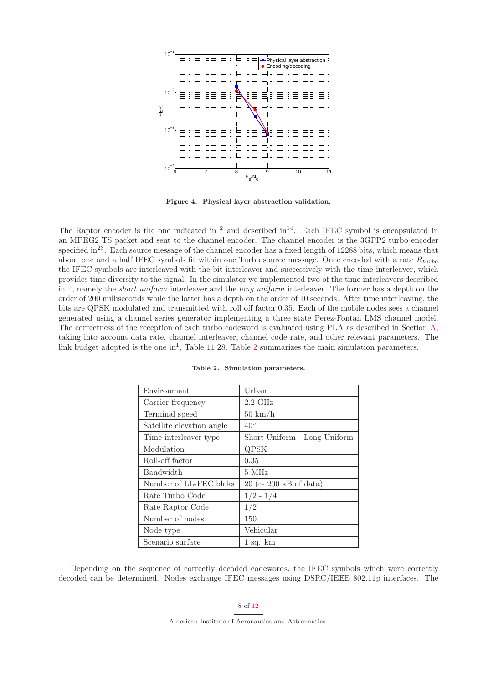

Figure 4. Physical layer abstraction validation.

The Raptor encoder is the one indicated in  $2$  and described in  $14$ . Each IFEC symbol is encapsulated in an MPEG2 TS packet and sent to the channel encoder. The channel encoder is the 3GPP2 turbo encoder specified in<sup>23</sup>. Each source message of the channel encoder has a fixed length of 12288 bits, which means that about one and a half IFEC symbols fit within one Turbo source message. Once encoded with a rate  $R_{turbo}$ the IFEC symbols are interleaved with the bit interleaver and successively with the time interleaver, which provides time diversity to the signal. In the simulator we implemented two of the time interleavers described  $\sin^{15}$ , namely the *short uniform* interleaver and the *long uniform* interleaver. The former has a depth on the order of 200 milliseconds while the latter has a depth on the order of 10 seconds. After time interleaving, the bits are QPSK modulated and transmitted with roll off factor 0.35. Each of the mobile nodes sees a channel generated using a channel series generator implementing a three state Perez-Fontan LMS channel model. The correctness of the reception of each turbo codeword is evaluated using PLA as described in Section A, taking into account data rate, channel interleaver, channel code rate, and other relevant parameters. The link budget adopted is the one in<sup>1</sup>, Table 11.28. Table 2 summarizes the main simulation parameters.

| Environment               | Urban                              |
|---------------------------|------------------------------------|
| Carrier frequency         | $2.2\text{ GHz}$                   |
| Terminal speed            | $50 \text{ km/h}$                  |
| Satellite elevation angle | $40^{\circ}$                       |
| Time interleaver type     | Short Uniform - Long Uniform       |
| Modulation                | QPSK                               |
| Roll-off factor           | 0.35                               |
| <b>Bandwidth</b>          | 5 MHz                              |
| Number of LL-FEC bloks    | $20 (\sim 200 \text{ kB of data})$ |
| Rate Turbo Code           | $1/2 - 1/4$                        |
| Rate Raptor Code          | 1/2                                |
| Number of nodes           | 150                                |
| Node type                 | Vehicular                          |
| Scenario surface          | $1$ sq. $km$                       |

Table 2. Simulation parameters.

Depending on the sequence of correctly decoded codewords, the IFEC symbols which were correctly decoded can be determined. Nodes exchange IFEC messages using DSRC/IEEE 802.11p interfaces. The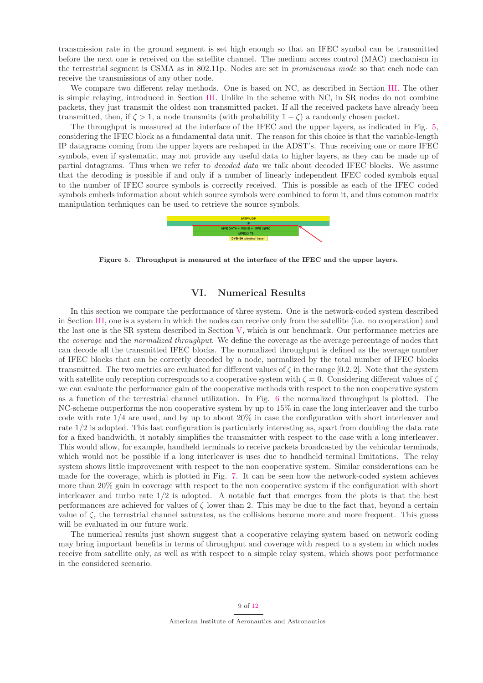transmission rate in the ground segment is set high enough so that an IFEC symbol can be transmitted before the next one is received on the satellite channel. The medium access control (MAC) mechanism in the terrestrial segment is CSMA as in 802.11p. Nodes are set in promiscuous mode so that each node can receive the transmissions of any other node.

We compare two different relay methods. One is based on NC, as described in Section III. The other is simple relaying, introduced in Section III. Unlike in the scheme with NC, in SR nodes do not combine packets, they just transmit the oldest non transmitted packet. If all the received packets have already been transmitted, then, if  $\zeta > 1$ , a node transmits (with probability  $1 - \zeta$ ) a randomly chosen packet.

The throughput is measured at the interface of the IFEC and the upper layers, as indicated in Fig. 5, considering the IFEC block as a fundamental data unit. The reason for this choice is that the variable-length IP datagrams coming from the upper layers are reshaped in the ADST's. Thus receiving one or more IFEC symbols, even if systematic, may not provide any useful data to higher layers, as they can be made up of partial datagrams. Thus when we refer to decoded data we talk about decoded IFEC blocks. We assume that the decoding is possible if and only if a number of linearly independent IFEC coded symbols equal to the number of IFEC source symbols is correctly received. This is possible as each of the IFEC coded symbols embeds information about which source symbols were combined to form it, and thus common matrix manipulation techniques can be used to retrieve the source symbols.



Figure 5. Throughput is measured at the interface of the IFEC and the upper layers.

## VI. Numerical Results

In this section we compare the performance of three system. One is the network-coded system described in Section III, one is a system in which the nodes can receive only from the satellite (i.e. no cooperation) and the last one is the SR system described in Section V, which is our benchmark. Our performance metrics are the *coverage* and the *normalized throughput*. We define the coverage as the average percentage of nodes that can decode all the transmitted IFEC blocks. The normalized throughput is defined as the average number of IFEC blocks that can be correctly decoded by a node, normalized by the total number of IFEC blocks transmitted. The two metrics are evaluated for different values of  $\zeta$  in the range [0.2, 2]. Note that the system with satellite only reception corresponds to a cooperative system with  $\zeta = 0$ . Considering different values of  $\zeta$ we can evaluate the performance gain of the cooperative methods with respect to the non cooperative system as a function of the terrestrial channel utilization. In Fig. 6 the normalized throughput is plotted. The NC-scheme outperforms the non cooperative system by up to 15% in case the long interleaver and the turbo code with rate 1/4 are used, and by up to about 20% in case the configuration with short interleaver and rate 1/2 is adopted. This last configuration is particularly interesting as, apart from doubling the data rate for a fixed bandwidth, it notably simplifies the transmitter with respect to the case with a long interleaver. This would allow, for example, handheld terminals to receive packets broadcasted by the vehicular terminals, which would not be possible if a long interleaver is uses due to handheld terminal limitations. The relay system shows little improvement with respect to the non cooperative system. Similar considerations can be made for the coverage, which is plotted in Fig. 7. It can be seen how the network-coded system achieves more than 20% gain in coverage with respect to the non cooperative system if the configuration with short interleaver and turbo rate  $1/2$  is adopted. A notable fact that emerges from the plots is that the best performances are achieved for values of  $\zeta$  lower than 2. This may be due to the fact that, beyond a certain value of  $\zeta$ , the terrestrial channel saturates, as the collisions become more and more frequent. This guess will be evaluated in our future work.

The numerical results just shown suggest that a cooperative relaying system based on network coding may bring important benefits in terms of throughput and coverage with respect to a system in which nodes receive from satellite only, as well as with respect to a simple relay system, which shows poor performance in the considered scenario.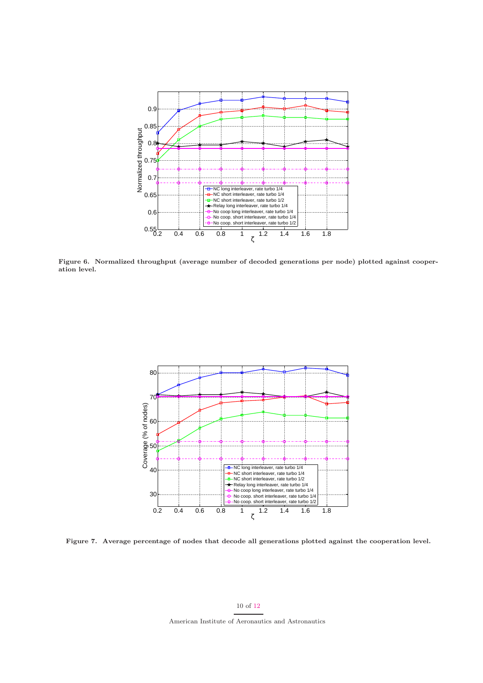

Figure 6. Normalized throughput (average number of decoded generations per node) plotted against cooperation level.



Figure 7. Average percentage of nodes that decode all generations plotted against the cooperation level.

10 of 12 American Institute of Aeronautics and Astronautics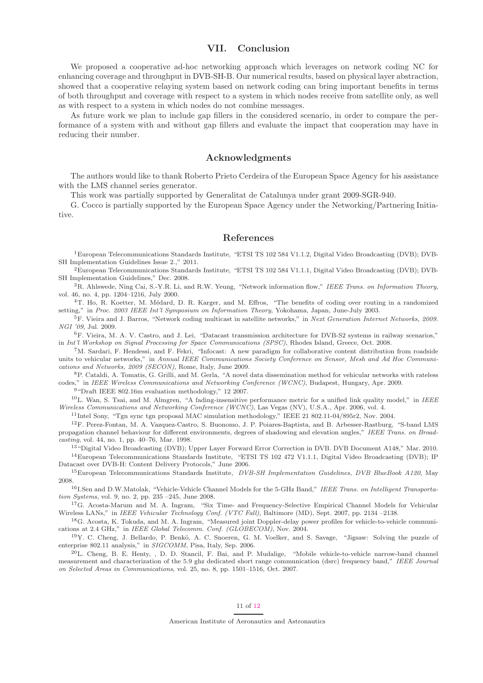## VII. Conclusion

We proposed a cooperative ad-hoc networking approach which leverages on network coding NC for enhancing coverage and throughput in DVB-SH-B. Our numerical results, based on physical layer abstraction, showed that a cooperative relaying system based on network coding can bring important benefits in terms of both throughput and coverage with respect to a system in which nodes receive from satellite only, as well as with respect to a system in which nodes do not combine messages.

As future work we plan to include gap fillers in the considered scenario, in order to compare the performance of a system with and without gap fillers and evaluate the impact that cooperation may have in reducing their number.

## Acknowledgments

The authors would like to thank Roberto Prieto Cerdeira of the European Space Agency for his assistance with the LMS channel series generator.

This work was partially supported by Generalitat de Catalunya under grant 2009-SGR-940.

G. Cocco is partially supported by the European Space Agency under the Networking/Partnering Initiative.

#### References

<sup>1</sup>European Telecommunications Standards Institute, "ETSI TS 102 584 V1.1.2, Digital Video Broadcasting (DVB); DVB-SH Implementation Guidelines Issue 2.," 2011.

 ${}^{2}$ European Telecommunications Standards Institute, "ETSI TS 102 584 V1.1.1, Digital Video Broadcasting (DVB); DVB-SH Implementation Guidelines," Dec. 2008.

 ${}^{3}R$ . Ahlswede, Ning Cai, S.-Y.R. Li, and R.W. Yeung, "Network information flow," IEEE Trans. on Information Theory, vol. 46, no. 4, pp. 1204–1216, July 2000.

<sup>4</sup>T. Ho, R. Koetter, M. Médard, D. R. Karger, and M. Effros, "The benefits of coding over routing in a randomized setting," in Proc. 2003 IEEE Int'l Symposium on Information Theory, Yokohama, Japan, June-July 2003.

 ${}^{5}$ F. Vieira and J. Barros, "Network coding multicast in satellite networks," in Next Generation Internet Networks, 2009. NGI '09, Jul. 2009.

<sup>6</sup>F. Vieira, M. A. V. Castro, and J. Lei, "Datacast transmission architecture for DVB-S2 systems in railway scenarios," in Int'l Workshop on Signal Processing for Space Communications (SPSC), Rhodes Island, Greece, Oct. 2008.

<sup>7</sup>M. Sardari, F. Hendessi, and F. Fekri, "Infocast: A new paradigm for collaborative content distribution from roadside units to vehicular networks," in Annual IEEE Communications Society Conference on Sensor, Mesh and Ad Hoc Communications and Networks, 2009 (SECON), Rome, Italy, June 2009.

<sup>8</sup>P. Cataldi, A. Tomatis, G. Grilli, and M. Gerla, "A novel data dissemination method for vehicular networks with rateless codes," in IEEE Wireless Communications and Networking Conference (WCNC), Budapest, Hungary, Apr. 2009.

 $^9$  "Draft IEEE 802.16m evaluation methodology," 12 2007.

 $10$ L. Wan, S. Tsai, and M. Almgren, "A fading-insensitive performance metric for a unified link quality model," in IEEE Wireless Communications and Networking Conference (WCNC), Las Vegas (NV), U.S.A., Apr. 2006, vol. 4.

<sup>11</sup>Intel Sony, "Tgn sync tgn proposal MAC simulation methodology," IEEE 21 802.11-04/895r2, Nov. 2004.

<sup>12</sup>F. Perez-Fontan, M. A. Vazquez-Castro, S. Buonomo, J. P. Poiares-Baptista, and B. Arbesser-Rastburg, "S-band LMS propagation channel behaviour for different environments, degrees of shadowing and elevation angles," IEEE Trans. on Broadcasting, vol. 44, no. 1, pp. 40–76, Mar. 1998.

<sup>13</sup>"Digital Video Broadcasting (DVB); Upper Layer Forward Error Correction in DVB. DVB Document A148," Mar. 2010. <sup>14</sup>European Telecommunications Standards Institute, "ETSI TS 102 472 V1.1.1, Digital Video Broadcasting (DVB); IP Datacast over DVB-H: Content Delivery Protocols," June 2006.

<sup>15</sup>European Telecommunications Standards Institute, *DVB-SH Implementation Guidelines, DVB BlueBook A120*, May 2008.

<sup>16</sup>I.Sen and D.W.Matolak, "Vehicle-Vehicle Channel Models for the 5-GHz Band," IEEE Trans. on Intelligent Transportation Systems, vol. 9, no. 2, pp. 235 –245, June 2008.

<sup>17</sup>G. Acosta-Marum and M. A. Ingram, "Six Time- and Frequency-Selective Empirical Channel Models for Vehicular Wireless LANs," in IEEE Vehicular Technology Conf. (VTC Fall), Baltimore (MD), Sept. 2007, pp. 2134 –2138.

<sup>18</sup>G. Acosta, K. Tokuda, and M. A. Ingram, "Measured joint Doppler-delay power profiles for vehicle-to-vehicle communications at 2.4 GHz," in IEEE Global Telecomm. Conf. (GLOBECOM), Nov. 2004.

<sup>19</sup>Y. C. Cheng, J. Bellardo, P. Benkö, A. C. Snoeren, G. M. Voelker, and S. Savage, "Jigsaw: Solving the puzzle of enterprise 802.11 analysis," in SIGCOMM, Pisa, Italy, Sep. 2006.

<sup>20</sup>L. Cheng, B. E. Henty, , D. D. Stancil, F. Bai, and P. Mudalige, "Mobile vehicle-to-vehicle narrow-band channel measurement and characterization of the 5.9 ghz dedicated short range communication (dsrc) frequency band," IEEE Journal on Selected Areas in Communications, vol. 25, no. 8, pp. 1501–1516, Oct. 2007.